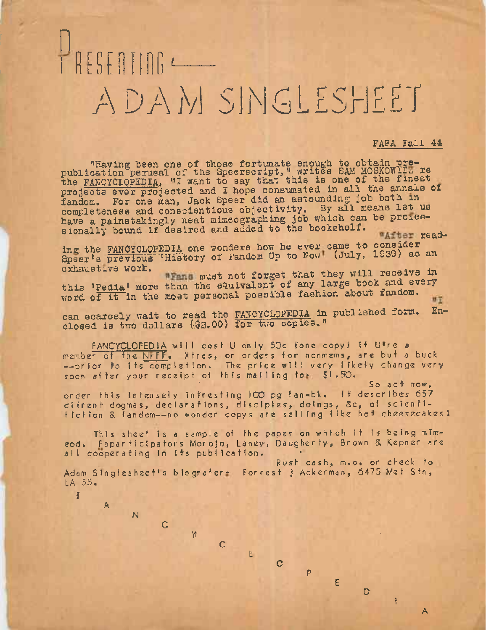## $\bigcup$  n  $E$ ADAM SIM ALESHEET

FAPA Fall 44

"Having been one of those fortunate enough to obtain prepublication perusal of the Speerscript, " writes SAM MOSKOWITZ re publication perusal of the Epecificial that the some of the finest projects ever projected and I hope consumated in all the annals of fandom. For one man, Jack Speer did an astounding job both in iandom. For one man, Jack Speer did an associating to all means let us have a painstakingly neat mimeographing job which can be proiessionally bound if desired and added to the bookshelf. Whiter read-

ing the FANCYCLOPEDIA one wonders how he ever came to consider Ing the FANCYCLOPEDIA one wonders how how (July, 1939) as an<br>Speer's previous 'History of Fandom Up to Now! (July, 1939) as an<br>exhaustive work. Must not forget that they will receive in

this 'Pedia' more than the equivalent of any large book and every word of it in the most personal possible fashion about fandom. 叶正

can scarcely wait to read the FANCYCLOPEDIA in published form. Enclosed is two dollars (\$3.00) for two copies."

FANCYCLOPEDIA will cost U only 50c fone copy) If Utre a member of the NFFF. Xtras, or orders for nonmems, are but a buck --prior to its completion. The price will very likely change very soon after your receipt of this mailing fo» \$1.50.

So act now,<br>It describes 657 order this Intensely infresting 100 pg fan-bk. difrent dogmas, declarations, disciples, doings, &c, of scientiflction & fandom-—no wonder copys are selling like hot cheesecakes <sup>1</sup>

This sheet is <sup>a</sup> sample of the paper on which it is being mlmeod. Fapar ticipators Morojo, Laney, Daugherty, Brown & Kepner are all cooperating In its publication. •

Rush cash, m.o. or check to Adam Singlesheet's biografer. Forrest j Ackerman, 6475 Met Stn, LA 55.

L

C

*Y •*

P

E

 $\mathbf D$ 

i

A

 $\sigma$ 

F

A

N

 $\mathsf c$